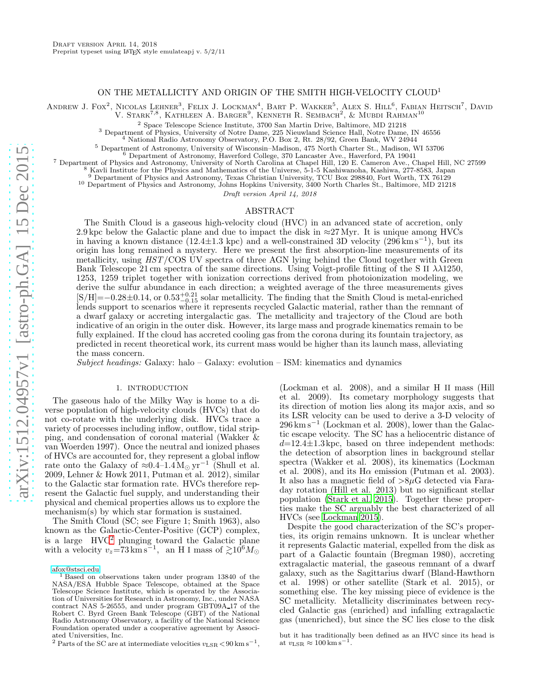## ON THE METALLICITY AND ORIGIN OF THE SMITH HIGH-VELOCITY CLOUD<sup>1</sup>

ANDREW J. FOX<sup>2</sup>, NICOLAS LEHNER<sup>3</sup>, FELIX J. LOCKMAN<sup>4</sup>, BART P. WAKKER<sup>5</sup>, ALEX S. HILL<sup>6</sup>, FABIAN HEITSCH<sup>7</sup>, DAVID

V. Stark<sup>7,8</sup>, Kathleen A. Barger<sup>9</sup>, Kenneth R. Sembach<sup>2</sup>, & Mubdi Rahman<sup>10</sup>

<sup>2</sup> Space Telescope Science Institute, 3700 San Martin Drive, Baltimore, MD 21218

<sup>3</sup> Department of Physics, University of Notre Dame, 225 Nieuwland Science Hall, Notre Dame, IN 46556

<sup>4</sup> National Radio Astronomy Observatory, P.O. Box 2, Rt. 28/92, Green Bank, WV 24944

<sup>5</sup> Department of Astronomy, University of Wisconsin–Madison, 475 North Charter St., Madison, WI 53706

<sup>6</sup> Department of Astronomy, Haverford College, 370 Lancaster Ave., Haverford, PA 19041

<sup>7</sup> Department of Physics and Astronomy, University of North Carolina at Chapel Hill, 120 E. Cameron Ave., Chapel Hill, NC 27599

<sup>8</sup> Kavli Institute for the Physics and Mathematics of the Universe, 5-1-5 Kashiwanoha, Kashiwa, 277-8583, Japan

<sup>9</sup> Department of Physics and Astronomy, Texas Christian University, TCU Box 298840, Fort Worth, TX 76129

<sup>10</sup> Department of Physics and Astronomy, Johns Hopkins University, 3400 North Charles St., Baltimore, MD 21218

Draft version April 14, 2018

### ABSTRACT

The Smith Cloud is a gaseous high-velocity cloud (HVC) in an advanced state of accretion, only 2.9 kpc below the Galactic plane and due to impact the disk in  $\approx$ 27 Myr. It is unique among HVCs in having a known distance (12.4±1.3 kpc) and a well-constrained 3D velocity (296 km s−<sup>1</sup> ), but its origin has long remained a mystery. Here we present the first absorption-line measurements of its metallicity, using *HST*/COS UV spectra of three AGN lying behind the Cloud together with Green Bank Telescope 21 cm spectra of the same directions. Using Voigt-profile fitting of the S II  $\lambda\lambda$ 1250, 1253, 1259 triplet together with ionization corrections derived from photoionization modeling, we derive the sulfur abundance in each direction; a weighted average of the three measurements gives  $[S/H] = -0.28 \pm 0.14$ , or  $0.53_{-0.15}^{+0.21}$  solar metallicity. The finding that the Smith Cloud is metal-enriched lends support to scenarios where it represents recycled Galactic material, rather than the remnant of a dwarf galaxy or accreting intergalactic gas. The metallicity and trajectory of the Cloud are both indicative of an origin in the outer disk. However, its large mass and prograde kinematics remain to be fully explained. If the cloud has accreted cooling gas from the corona during its fountain trajectory, as predicted in recent theoretical work, its current mass would be higher than its launch mass, alleviating the mass concern.

*Subject headings:* Galaxy: halo – Galaxy: evolution – ISM: kinematics and dynamics

### 1. INTRODUCTION

The gaseous halo of the Milky Way is home to a diverse population of high-velocity clouds (HVCs) that do not co-rotate with the underlying disk. HVCs trace a variety of processes including inflow, outflow, tidal stripping, and condensation of coronal material (Wakker & van Woerden 1997). Once the neutral and ionized phases of HVCs are accounted for, they represent a global inflow rate onto the Galaxy of  $\approx 0.4-1.4 M_{\odot} \text{ yr}^{-1}$  (Shull et al. 2009, Lehner & Howk 2011, Putman et al. 2012), similar to the Galactic star formation rate. HVCs therefore represent the Galactic fuel supply, and understanding their physical and chemical properties allows us to explore the mechanism(s) by which star formation is sustained.

The Smith Cloud (SC; see Figure 1; Smith 1963), also known as the Galactic-Center-Positive (GCP) complex, is a large HVC[2](#page-0-0) plunging toward the Galactic plane with a velocity  $v_z = 73 \text{ km s}^{-1}$ , an H I mass of  $\gtrsim 10^6 M_{\odot}$ 

[afox@stsci.edu](mailto:afox@stsci.edu)

(Lockman et al. 2008), and a similar H II mass (Hill et al. 2009). Its cometary morphology suggests that its direction of motion lies along its major axis, and so its LSR velocity can be used to derive a 3-D velocity of 296 km s<sup>-1</sup> (Lockman et al. 2008), lower than the Galactic escape velocity. The SC has a heliocentric distance of  $d=12.4\pm1.3$  kpc, based on three independent methods: the detection of absorption lines in background stellar spectra (Wakker et al. 2008), its kinematics (Lockman et al. 2008), and its  $H\alpha$  emission (Putman et al. 2003). It also has a magnetic field of  $>8\mu$ G detected via Faraday rotation (Hill et al. 2013) but no significant stellar population [\(Stark et al. 2015](#page-5-0)). Together these properties make the SC arguably the best characterized of all HVCs (see [Lockman 2015\)](#page-5-1).

Despite the good characterization of the SC's properties, its origin remains unknown. It is unclear whether it represents Galactic material, expelled from the disk as part of a Galactic fountain (Bregman 1980), accreting extragalactic material, the gaseous remnant of a dwarf galaxy, such as the Sagittarius dwarf (Bland-Hawthorn et al. 1998) or other satellite (Stark et al. 2015), or something else. The key missing piece of evidence is the SC metallicity. Metallicity discriminates between recycled Galactic gas (enriched) and infalling extragalactic gas (unenriched), but since the SC lies close to the disk

but it has traditionally been defined as an HVC since its head is at  $v_{\rm LSR} \approx 100 \,\rm km\,s^{-1}$ .

<sup>&</sup>lt;sup>1</sup> Based on observations taken under program 13840 of the NASA/ESA Hubble Space Telescope, obtained at the Space Telescope Science Institute, which is operated by the Association of Universities for Research in Astronomy, Inc., under NASA contract NAS 5-26555, and under program GBT09A 17 of the Robert C. Byrd Green Bank Telescope (GBT) of the National Radio Astronomy Observatory, a facility of the National Science Foundation operated under a cooperative agreement by Associated Universities, Inc.

<span id="page-0-0"></span><sup>&</sup>lt;sup>2</sup> Parts of the SC are at intermediate velocities  $v_{\rm LSR}$  < 90 km s<sup>-1</sup>,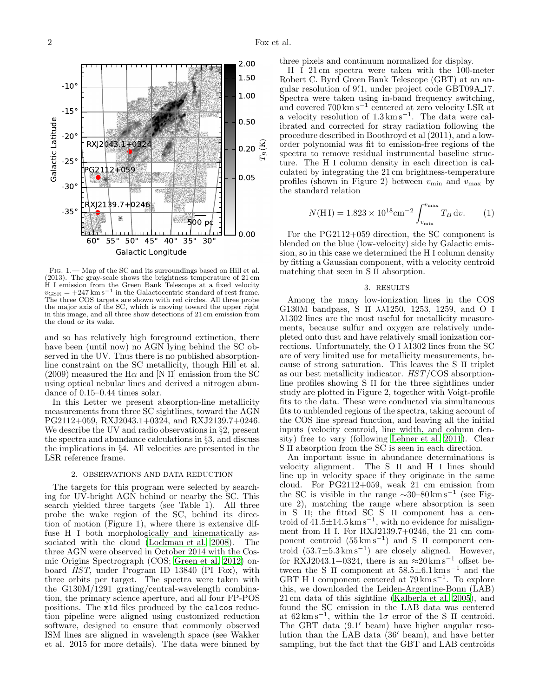

Fig. 1.— Map of the SC and its surroundings based on Hill et al. (2013). The gray-scale shows the brightness temperature of 21 cm H I emission from the Green Bank Telescope at a fixed velocity  $v_{\text{GSR}} = +247 \text{ km s}^{-1}$  in the Galactocentric standard of rest frame. The three COS targets are shown with red circles. All three probe the major axis of the SC, which is moving toward the upper right in this image, and all three show detections of 21 cm emission from the cloud or its wake.

and so has relatively high foreground extinction, there have been (until now) no AGN lying behind the SC observed in the UV. Thus there is no published absorptionline constraint on the SC metallicity, though Hill et al.  $(2009)$  measured the H $\alpha$  and [N II] emission from the SC using optical nebular lines and derived a nitrogen abundance of 0.15–0.44 times solar.

In this Letter we present absorption-line metallicity measurements from three SC sightlines, toward the AGN PG2112+059, RXJ2043.1+0324, and RXJ2139.7+0246. We describe the UV and radio observations in §2, present the spectra and abundance calculations in §3, and discuss the implications in §4. All velocities are presented in the LSR reference frame.

# 2. OBSERVATIONS AND DATA REDUCTION

The targets for this program were selected by searching for UV-bright AGN behind or nearby the SC. This search yielded three targets (see Table 1). All three probe the wake region of the SC, behind its direction of motion (Figure 1), where there is extensive diffuse H I both morphologically and kinematically as-sociated with the cloud [\(Lockman et al. 2008\)](#page-5-2). The three AGN were observed in October 2014 with the Cosmic Origins Spectrograph (COS; [Green et al. 2012\)](#page-5-3) onboard *HST*, under Program ID 13840 (PI Fox), with three orbits per target. The spectra were taken with the G130M/1291 grating/central-wavelength combination, the primary science aperture, and all four FP-POS positions. The x1d files produced by the calcos reduction pipeline were aligned using customized reduction software, designed to ensure that commonly observed ISM lines are aligned in wavelength space (see Wakker et al. 2015 for more details). The data were binned by

three pixels and continuum normalized for display.

H I 21 cm spectra were taken with the 100-meter Robert C. Byrd Green Bank Telescope (GBT) at an angular resolution of 9.1, under project code GBT09A<sub>-17</sub>. Spectra were taken using in-band frequency switching, and covered 700 km s<sup>-1</sup> centered at zero velocity LSR at a velocity resolution of 1.3 km s−<sup>1</sup> . The data were calibrated and corrected for stray radiation following the procedure described in Boothroyd et al (2011), and a loworder polynomial was fit to emission-free regions of the spectra to remove residual instrumental baseline structure. The H I column density in each direction is calculated by integrating the 21 cm brightness-temperature profiles (shown in Figure 2) between  $v_{\text{min}}$  and  $v_{\text{max}}$  by the standard relation

$$
N(\text{H I}) = 1.823 \times 10^{18} \text{cm}^{-2} \int_{v_{\text{min}}}^{v_{\text{max}}} T_B \, \text{d}v. \tag{1}
$$

For the PG2112+059 direction, the SC component is blended on the blue (low-velocity) side by Galactic emission, so in this case we determined the H I column density by fitting a Gaussian component, with a velocity centroid matching that seen in S II absorption.

### 3. RESULTS

Among the many low-ionization lines in the COS G130M bandpass, S II λλ1250, 1253, 1259, and O I λ1302 lines are the most useful for metallicity measurements, because sulfur and oxygen are relatively undepleted onto dust and have relatively small ionization corrections. Unfortunately, the O I  $\lambda$ 1302 lines from the SC are of very limited use for metallicity measurements, because of strong saturation. This leaves the S II triplet as our best metallicity indicator. *HST*/COS absorptionline profiles showing S II for the three sightlines under study are plotted in Figure 2, together with Voigt-profile fits to the data. These were conducted via simultaneous fits to unblended regions of the spectra, taking account of the COS line spread function, and leaving all the initial inputs (velocity centroid, line width, and column density) free to vary (following [Lehner et al. 2011\)](#page-5-4). Clear S II absorption from the SC is seen in each direction.

An important issue in abundance determinations is velocity alignment. The S II and H I lines should line up in velocity space if they originate in the same cloud. For PG2112+059, weak 21 cm emission from the SC is visible in the range  $\sim$ 30–80 km s<sup>-1</sup> (see Figure 2), matching the range where absorption is seen in  $S'II$ ; the fitted  $SC \tilde{S}$  II component has a centroid of  $41.5 \pm 14.5 \,\mathrm{km \, s^{-1}}$ , with no evidence for misalignment from H I. For RXJ2139.7+0246, the 21 cm component centroid  $(55 \text{ km s}^{-1})$  and S II component centroid  $(53.7 \pm 5.3 \,\mathrm{km \, s^{-1}})$  are closely aligned. However, for RXJ2043.1+0324, there is an  $\approx 20 \,\mathrm{km \, s^{-1}}$  offset between the S II component at  $58.5\pm6.1\,\mathrm{km\,s^{-1}}$  and the GBT H I component centered at 79 km s<sup>−</sup><sup>1</sup> . To explore this, we downloaded the Leiden-Argentine-Bonn (LAB) 21 cm data of this sightline [\(Kalberla et al. 2005\)](#page-5-5), and found the SC emission in the LAB data was centered at  $62 \text{ km s}^{-1}$ , within the  $1\sigma$  error of the S II centroid. The GBT data (9.1′ beam) have higher angular resolution than the LAB data (36′ beam), and have better sampling, but the fact that the GBT and LAB centroids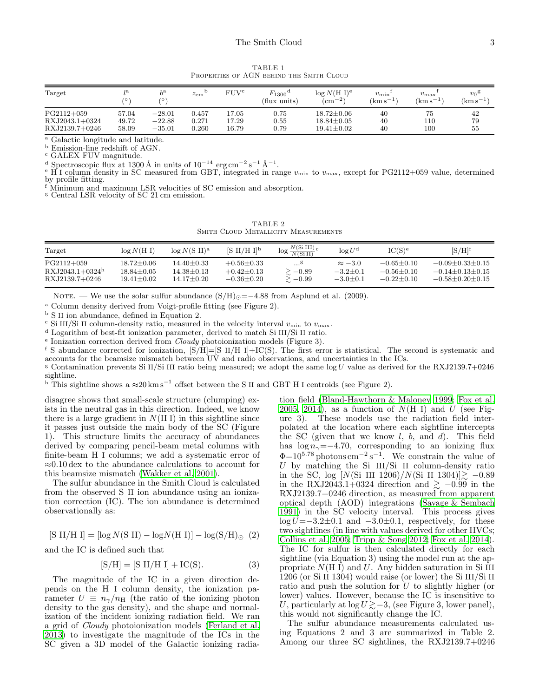TABLE 1 Properties of AGN behind the Smith Cloud

| Target         | 6     | $b^{\rm a}$<br>70, | $z_{\rm em}$ | FUVc  | $F_{1300}$ <sup>d</sup><br>(flux units) | $\log N(H I)^e$<br>$\rm (cm^{-2})$ | $v_{\rm min}$<br>$(\rm km\,s^{-1})$ | $v_{\rm max}$<br>$(km s^{-1})$ | $v_0$ g<br>$(km s^{-1})$ |
|----------------|-------|--------------------|--------------|-------|-----------------------------------------|------------------------------------|-------------------------------------|--------------------------------|--------------------------|
| $PG2112+059$   | 57.04 | $-28.01$           | 0.457        | L7.05 | 0.75                                    | $18.72 \pm 0.06$                   | 40                                  | 75                             | 42                       |
| RXJ2043.1+0324 | 49.72 | $-22.88$           | 0.271        | 17.29 | 0.55                                    | $18.84 \pm 0.05$                   | 40                                  | 110                            | 79                       |
| RXJ2139.7+0246 | 58.09 | $-35.01$           | 0.260        | 16.79 | 0.79                                    | $19.41 \pm 0.02$                   | 40                                  | 100                            | 55                       |

<sup>a</sup> Galactic longitude and latitude.

<sup>b</sup> Emission-line redshift of AGN.

<sup>c</sup> GALEX FUV magnitude.

<sup>d</sup> Spectroscopic flux at 1300 Å in units of 10<sup>-14</sup> erg cm<sup>-2</sup> s<sup>-1</sup> Å<sup>-1</sup>.<br>
<sup>e</sup> H I column density in SC measured from GBT, integrated in range  $v_{\text{min}}$  to  $v_{\text{max}}$ , except for PG2112+059 value, determined by profile fitting.

<sup>f</sup> Minimum and maximum LSR velocities of SC emission and absorption.

<sup>g</sup> Central LSR velocity of SC 21 cm emission.

TABLE 2 SMITH CLOUD METALLICITY MEASUREMENTS

| Target                                              | log N(H I)                                     | $\log N(S \text{ II})^{\text{a}}$      | $[S II/H I]^{b}$                                         | $\log \frac{N(Si III)}{N(Si II)}c$ | $\log U^{\rm d}$                               | IC(S) <sup>e</sup>                               | $[S/H]^{f}$                                                             |
|-----------------------------------------------------|------------------------------------------------|----------------------------------------|----------------------------------------------------------|------------------------------------|------------------------------------------------|--------------------------------------------------|-------------------------------------------------------------------------|
| $PG2112+059$<br>$RXJ2043.1+0324h$<br>RXJ2139.7+0246 | 18.72±0.06<br>$18.84 + 0.05$<br>$19.41 + 0.02$ | 14.40+0.33<br>14.38+0.13<br>14.17±0.20 | $+0.56 \pm 0.33$<br>$+0.42 \pm 0.13$<br>$-0.36 \pm 0.20$ | $\ge -0.89$<br>$\ge -0.99$         | $\approx -3.0$<br>$-3.2+0.1$<br>$-3.0 \pm 0.1$ | $-0.65 + 0.10$<br>$-0.56 + 0.10$<br>$-0.22+0.10$ | $-0.09 + 0.33 + 0.15$<br>$-0.14 + 0.13 + 0.15$<br>$-0.58 + 0.20 + 0.15$ |

NOTE. — We use the solar sulfur abundance  $(S/H)_{\odot}$  = -4.88 from Asplund et al. (2009).

<sup>a</sup> Column density derived from Voigt-profile fitting (see Figure 2).

<sup>b</sup> S II ion abundance, defined in Equation 2.

 $\sim$  Si III/Si II column-density ratio, measured in the velocity interval  $v_{\text{min}}$  to  $v_{\text{max}}$ .

<sup>d</sup> Logarithm of best-fit ionization parameter, derived to match Si III/Si II ratio.

<sup>e</sup> Ionization correction derived from *Cloudy* photoionization models (Figure 3).

<sup>f</sup> S abundance corrected for ionization,  $[S/H]=[S\ II/H\ I]+IC(S)$ . The first error is statistical. The second is systematic and accounts for the beamsize mismatch between UV and radio observations, and uncertainties in the ICs.

<sup>g</sup> Contamination prevents Si II/Si III ratio being measured; we adopt the same  $\log U$  value as derived for the RXJ2139.7+0246 sightline.

<sup>h</sup> This sightline shows a  $\approx 20 \text{ km s}^{-1}$  offset between the S II and GBT H I centroids (see Figure 2).

disagree shows that small-scale structure (clumping) exists in the neutral gas in this direction. Indeed, we know there is a large gradient in  $N(H I)$  in this sightline since it passes just outside the main body of the SC (Figure 1). This structure limits the accuracy of abundances derived by comparing pencil-beam metal columns with finite-beam H I columns; we add a systematic error of ≈0.10 dex to the abundance calculations to account for this beamsize mismatch [\(Wakker et al. 2001](#page-5-6)).

The sulfur abundance in the Smith Cloud is calculated from the observed S II ion abundance using an ionization correction (IC). The ion abundance is determined observationally as:

 $[S II/H I] = \left[\log N(S II) - \log N(H I)\right] - \log(S/H)_{\odot}$  (2)

and the IC is defined such that

$$
[S/H] = [S II/H I] + IC(S).
$$
 (3)

The magnitude of the IC in a given direction depends on the H I column density, the ionization parameter  $U = n_{\gamma}/n_{\rm H}$  (the ratio of the ionizing photon density to the gas density), and the shape and normalization of the incident ionizing radiation field. We ran a grid of *Cloudy* photoionization models [\(Ferland et al.](#page-5-7) [2013\)](#page-5-7) to investigate the magnitude of the ICs in the SC given a 3D model of the Galactic ionizing radia-

tion field [\(Bland-Hawthorn & Maloney 1999;](#page-4-0) [Fox et al.](#page-5-8) [2005,](#page-5-8) [2014\)](#page-5-9), as a function of  $N(H I)$  and U (see Figure 3). These models use the radiation field interpolated at the location where each sightline intercepts the SC (given that we know  $l, b, \text{ and } d$ ). This field has  $\log n_{\gamma}$ =−4.70, corresponding to an ionizing flux  $\Phi$ =10<sup>5.78</sup> photons cm<sup>-2</sup> s<sup>-1</sup>. We constrain the value of  $U$  by matching the Si III/Si II column-density ratio in the SC, log [N(Si III 1206)/N(Si II 1304)] $\gtrsim$  -0.89 in the RXJ2043.1+0324 direction and  $\geq -0.99$  in the RXJ2139.7+0246 direction, as measured from apparent optical depth (AOD) integrations [\(Savage & Sembach](#page-5-10) [1991\)](#page-5-10) in the SC velocity interval. This process gives  $log U = -3.2 \pm 0.1$  and  $-3.0 \pm 0.1$ , respectively, for these two sightlines (in line with values derived for other HVCs; [Collins et al. 2005](#page-5-11); [Tripp & Song 2012;](#page-5-12) [Fox et al. 2014](#page-5-9)). The IC for sulfur is then calculated directly for each sightline (via Equation 3) using the model run at the appropriate  $N(H I)$  and U. Any hidden saturation in Si III 1206 (or Si II 1304) would raise (or lower) the Si III/Si II ratio and push the solution for  $U$  to slightly higher (or lower) values. However, because the IC is insensitive to U, particularly at log  $U \geq -3$ , (see Figure 3, lower panel), this would not significantly change the IC.

The sulfur abundance measurements calculated using Equations 2 and 3 are summarized in Table 2. Among our three SC sightlines, the RXJ2139.7+0246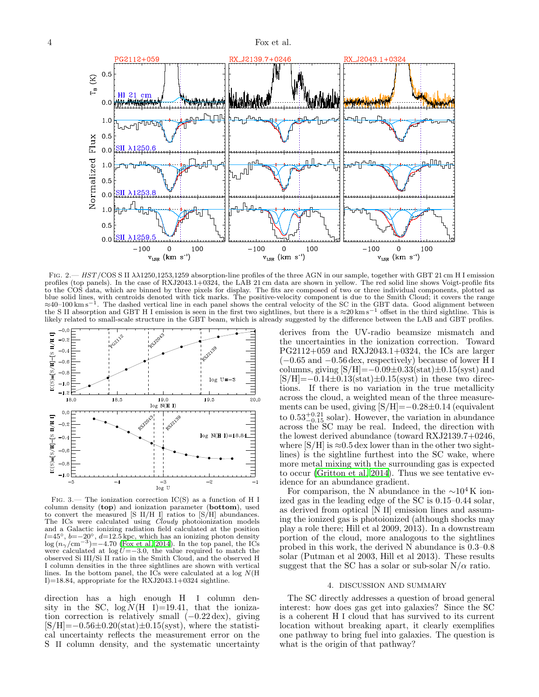

Fig. 2.— HST/COS S II λλ1250,1253,1259 absorption-line profiles of the three AGN in our sample, together with GBT 21 cm H I emission profiles (top panels). In the case of RXJ2043.1+0324, the LAB 21 cm data are shown in yellow. The red solid line shows Voigt-profile fits to the COS data, which are binned by three pixels for display. The fits are composed of two or three individual components, plotted as blue solid lines, with centroids denoted with tick marks. The positive-velocity component is due to the Smith Cloud; it covers the range  $\approx 40-100 \text{ km s}^{-1}$ . The dashed vertical line in each panel shows the central veloc likely related to small-scale structure in the GBT beam, which is already suggested by the difference between the LAB and GBT profiles.



FIG. 3.— The ionization correction  $\text{IC}(S)$  as a function of H I column density (top) and ionization parameter (bottom), used to convert the measured [S II/H I] ratios to [S/H] abundances. The ICs were calculated using *Cloudy* photoionization models and a Galactic ionizing radiation field calculated at the position  $l=45^\circ$ ,  $b=-20^\circ$ ,  $d=12.5$  kpc, which has an ionizing photon density  $\log (n_\gamma/cm^{-3}) = -4.70$  [\(Fox et al. 2014](#page-5-9)). In the top panel, the ICs were calculated at  $\log U = -3.0$ , the value required to match the observed Si III/Si II ratio in the Smith Cloud, and the observed H I column densities in the three sightlines are shown with vertical lines. In the bottom panel, the ICs were calculated at a log  $N(H)$ I)=18.84, appropriate for the RXJ2043.1+0324 sightline.

direction has a high enough H I column density in the SC,  $log\ N(H I)=19.41$ , that the ionization correction is relatively small (−0.22 dex), giving  $[S/H] = -0.56 \pm 0.20(\text{stat}) \pm 0.15(\text{syst})$ , where the statistical uncertainty reflects the measurement error on the S II column density, and the systematic uncertainty

derives from the UV-radio beamsize mismatch and the uncertainties in the ionization correction. Toward PG2112+059 and RXJ2043.1+0324, the ICs are larger  $(-0.65$  and  $-0.56$  dex, respectively) because of lower H I columns, giving  $[S/H] = -0.09 \pm 0.33(stat) \pm 0.15(syst)$  and  $[S/H] = -0.14 \pm 0.13(stat) \pm 0.15(syst)$  in these two directions. If there is no variation in the true metallicity across the cloud, a weighted mean of the three measurements can be used, giving [S/H]=−0.28±0.14 (equivalent to  $0.53^{+0.21}_{-0.15}$  solar). However, the variation in abundance across the SC may be real. Indeed, the direction with the lowest derived abundance (toward RXJ2139.7+0246, where  $[S/H]$  is  $\approx 0.5$  dex lower than in the other two sightlines) is the sightline furthest into the SC wake, where more metal mixing with the surrounding gas is expected to occur [\(Gritton et al. 2014](#page-5-13)). Thus we see tentative evidence for an abundance gradient.

For comparison, the N abundance in the  $\sim 10^4$  K ionized gas in the leading edge of the SC is 0.15–0.44 solar, as derived from optical [N II] emission lines and assuming the ionized gas is photoionized (although shocks may play a role there; Hill et al 2009, 2013). In a downstream portion of the cloud, more analogous to the sightlines probed in this work, the derived N abundance is 0.3–0.8 solar (Putman et al 2003, Hill et al 2013). These results suggest that the SC has a solar or sub-solar  $N/\alpha$  ratio.

# 4. DISCUSSION AND SUMMARY

The SC directly addresses a question of broad general interest: how does gas get into galaxies? Since the SC is a coherent H I cloud that has survived to its current location without breaking apart, it clearly exemplifies one pathway to bring fuel into galaxies. The question is what is the origin of that pathway?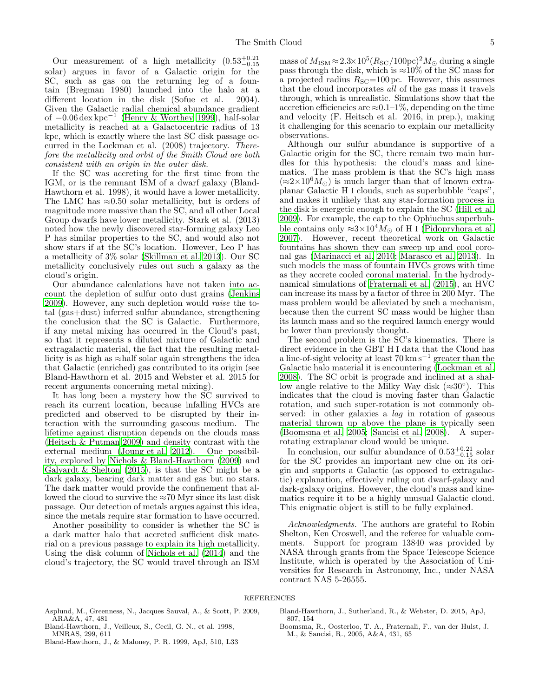Our measurement of a high metallicity  $(0.53^{+0.21}_{-0.15})$ solar) argues in favor of a Galactic origin for the SC, such as gas on the returning leg of a fountain (Bregman 1980) launched into the halo at a different location in the disk (Sofue et al. 2004). Given the Galactic radial chemical abundance gradient of −0.06 dex kpc−<sup>1</sup> [\(Henry & Worthey 1999\)](#page-5-14), half-solar metallicity is reached at a Galactocentric radius of 13 kpc, which is exactly where the last SC disk passage occurred in the Lockman et al. (2008) trajectory. *Therefore the metallicity and orbit of the Smith Cloud are both consistent with an origin in the outer disk.*

If the SC was accreting for the first time from the IGM, or is the remnant ISM of a dwarf galaxy (Bland-Hawthorn et al. 1998), it would have a lower metallicity. The LMC has  $\approx 0.50$  solar metallicity, but is orders of magnitude more massive than the SC, and all other Local Group dwarfs have lower metallicity. Stark et al. (2013) noted how the newly discovered star-forming galaxy Leo P has similar properties to the SC, and would also not show stars if at the SC's location. However, Leo P has a metallicity of 3% solar [\(Skillman et al. 2013\)](#page-5-15). Our SC metallicity conclusively rules out such a galaxy as the cloud's origin.

Our abundance calculations have not taken into account the depletion of sulfur onto dust grains [\(Jenkins](#page-5-16) [2009\)](#page-5-16). However, any such depletion would *raise* the total (gas+dust) inferred sulfur abundance, strengthening the conclusion that the SC is Galactic. Furthermore, if any metal mixing has occurred in the Cloud's past, so that it represents a diluted mixture of Galactic and extragalactic material, the fact that the resulting metallicity is as high as ≈half solar again strengthens the idea that Galactic (enriched) gas contributed to its origin (see Bland-Hawthorn et al. 2015 and Webster et al. 2015 for recent arguments concerning metal mixing).

It has long been a mystery how the SC survived to reach its current location, because infalling HVCs are predicted and observed to be disrupted by their interaction with the surrounding gaseous medium. The lifetime against disruption depends on the clouds mass [\(Heitsch & Putman 2009\)](#page-5-17) and density contrast with the external medium [\(Joung et al. 2012](#page-5-18)). One possibility, explored by [Nichols & Bland-Hawthorn \(2009\)](#page-5-19) and Galyardt  $&$  Shelton (2015), is that the SC might be a dark galaxy, bearing dark matter and gas but no stars. The dark matter would provide the confinement that allowed the cloud to survive the  $\approx 70$  Myr since its last disk passage. Our detection of metals argues against this idea, since the metals require star formation to have occurred.

Another possibility to consider is whether the SC is a dark matter halo that accreted sufficient disk material on a previous passage to explain its high metallicity. Using the disk column of [Nichols et al. \(2014\)](#page-5-21) and the cloud's trajectory, the SC would travel through an ISM

 ${\rm mass~of}~M_{\rm ISM}\!\approx\! 2.3\!\!\times\!10^{5}(R_{\rm SC}/100{\rm pc})^{2}M_{\odot}$  during a single pass through the disk, which is  $\approx 10\%$  of the SC mass for a projected radius  $R_{\text{SC}}$ =100 pc. However, this assumes that the cloud incorporates *all* of the gas mass it travels through, which is unrealistic. Simulations show that the accretion efficiencies are  $\approx 0.1-1\%$ , depending on the time and velocity (F. Heitsch et al. 2016, in prep.), making it challenging for this scenario to explain our metallicity observations.

Although our sulfur abundance is supportive of a Galactic origin for the SC, there remain two main hurdles for this hypothesis: the cloud's mass and kinematics. The mass problem is that the SC's high mass  $(\approx 2 \times 10^6 M_{\odot})$  is much larger than that of known extraplanar Galactic H I clouds, such as superbubble "caps", and makes it unlikely that any star-formation process in the disk is energetic enough to explain the SC [\(Hill et al.](#page-5-22) [2009\)](#page-5-22). For example, the cap to the Ophiuchus superbubble contains only  $\approx 3 \times 10^4 M_{\odot}$  of H I [\(Pidopryhora et al.](#page-5-23) [2007\)](#page-5-23). However, recent theoretical work on Galactic fountains has shown they can sweep up and cool coronal gas [\(Marinacci et al. 2010;](#page-5-24) [Marasco et al. 2013\)](#page-5-25). In such models the mass of fountain HVCs grows with time as they accrete cooled coronal material. In the hydrodynamical simulations of [Fraternali et al. \(2015\)](#page-5-26), an HVC can increase its mass by a factor of three in 200 Myr. The mass problem would be alleviated by such a mechanism, because then the current SC mass would be higher than its launch mass and so the required launch energy would be lower than previously thought.

The second problem is the SC's kinematics. There is direct evidence in the GBT H I data that the Cloud has a line-of-sight velocity at least 70 km s<sup>−</sup><sup>1</sup> greater than the Galactic halo material it is encountering [\(Lockman et al.](#page-5-2) [2008\)](#page-5-2). The SC orbit is prograde and inclined at a shallow angle relative to the Milky Way disk  $(\approx 30^{\circ})$ . This indicates that the cloud is moving faster than Galactic rotation, and such super-rotation is not commonly observed: in other galaxies a *lag* in rotation of gaseous material thrown up above the plane is typically seen [\(Boomsma et al. 2005](#page-4-1); [Sancisi et al. 2008\)](#page-5-27). A superrotating extraplanar cloud would be unique.

In conclusion, our sulfur abundance of  $0.53_{-0.15}^{+0.21}$  solar for the SC provides an important new clue on its origin and supports a Galactic (as opposed to extragalactic) explanation, effectively ruling out dwarf-galaxy and dark-galaxy origins. However, the cloud's mass and kinematics require it to be a highly unusual Galactic cloud. This enigmatic object is still to be fully explained.

*Acknowledgments.* The authors are grateful to Robin Shelton, Ken Croswell, and the referee for valuable comments. Support for program 13840 was provided by NASA through grants from the Space Telescope Science Institute, which is operated by the Association of Universities for Research in Astronomy, Inc., under NASA contract NAS 5-26555.

## **REFERENCES**

- Asplund, M., Greenness, N., Jacques Sauval, A., & Scott, P. 2009, ARA&A, 47, 481
- Bland-Hawthorn, J., Veilleux, S., Cecil, G. N., et al. 1998, MNRAS, 299, 611
- <span id="page-4-0"></span>Bland-Hawthorn, J., & Maloney, P. R. 1999, ApJ, 510, L33

Bland-Hawthorn, J., Sutherland, R., & Webster, D. 2015, ApJ, 807, 154

<span id="page-4-1"></span>Boomsma, R., Oosterloo, T. A., Fraternali, F., van der Hulst, J. M., & Sancisi, R., 2005, A&A, 431, 65